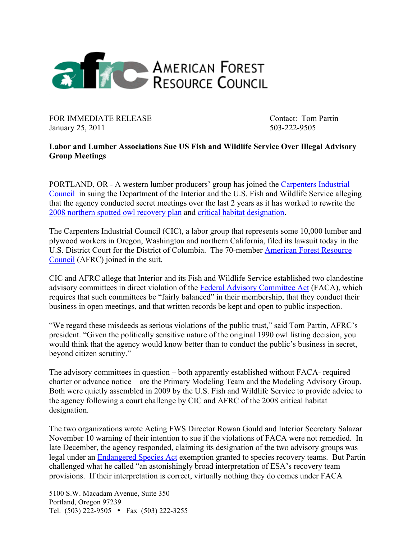

FOR IMMEDIATE RELEASE Contact: Tom Partin January 25, 2011 503-222-9505

## **Labor and Lumber Associations Sue US Fish and Wildlife Service Over Illegal Advisory Group Meetings**

PORTLAND, OR - A western lumber producers' group has joined the Carpenters Industrial Council in suing the Department of the Interior and the U.S. Fish and Wildlife Service alleging that the agency conducted secret meetings over the last 2 years as it has worked to rewrite the 2008 northern spotted owl recovery plan and critical habitat designation.

The Carpenters Industrial Council (CIC), a labor group that represents some 10,000 lumber and plywood workers in Oregon, Washington and northern California, filed its lawsuit today in the U.S. District Court for the District of Columbia. The 70-member American Forest Resource Council (AFRC) joined in the suit.

CIC and AFRC allege that Interior and its Fish and Wildlife Service established two clandestine advisory committees in direct violation of the Federal Advisory Committee Act (FACA), which requires that such committees be "fairly balanced" in their membership, that they conduct their business in open meetings, and that written records be kept and open to public inspection.

"We regard these misdeeds as serious violations of the public trust," said Tom Partin, AFRC's president. "Given the politically sensitive nature of the original 1990 owl listing decision, you would think that the agency would know better than to conduct the public's business in secret, beyond citizen scrutiny."

The advisory committees in question – both apparently established without FACA- required charter or advance notice – are the Primary Modeling Team and the Modeling Advisory Group. Both were quietly assembled in 2009 by the U.S. Fish and Wildlife Service to provide advice to the agency following a court challenge by CIC and AFRC of the 2008 critical habitat designation.

The two organizations wrote Acting FWS Director Rowan Gould and Interior Secretary Salazar November 10 warning of their intention to sue if the violations of FACA were not remedied. In late December, the agency responded, claiming its designation of the two advisory groups was legal under an Endangered Species Act exemption granted to species recovery teams. But Partin challenged what he called "an astonishingly broad interpretation of ESA's recovery team provisions. If their interpretation is correct, virtually nothing they do comes under FACA

5100 S.W. Macadam Avenue, Suite 350 Portland, Oregon 97239 Tel. (503) 222-9505 • Fax (503) 222-3255